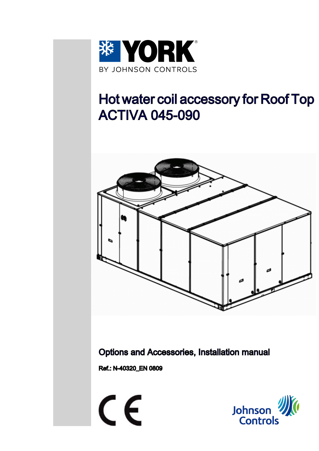

# Hot water coil accessory for Roof Top ACTIVA 045-090



Options and Accessories, Installation manual

Ref.: N-40320\_EN 0809

 $\epsilon$ 

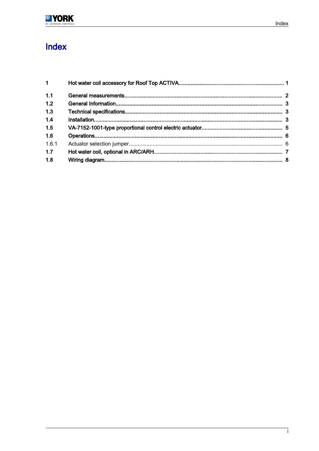# Index

| 1 <sup>1</sup> |  |
|----------------|--|
| 1.1            |  |
| 1.2            |  |
| 1.3            |  |
| 1.4            |  |
| 1.5            |  |
| 1.6            |  |
| 1.6.1          |  |
| 1.7            |  |
| 1.8            |  |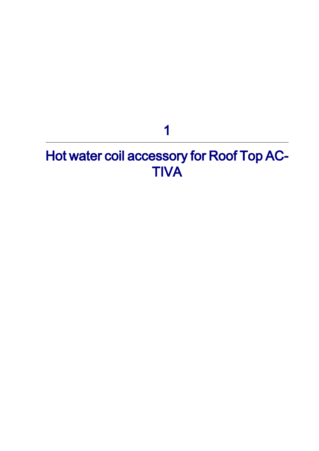# <span id="page-2-0"></span>Hot water coil accessory for Roof Top AC-**TIVA**

1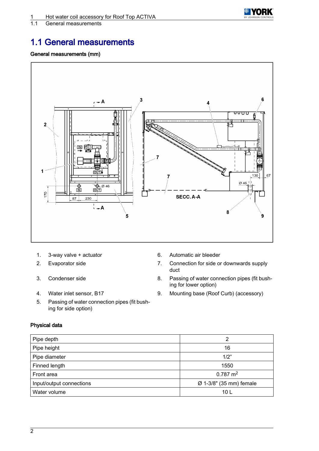

<span id="page-3-0"></span>1.1 General measurements

### 1.1 General measurements

#### General measurements (mm)



- 1. 3-way valve + actuator 6. Automatic air bleeder
- 2. Evaporator side **7.** Connection for side or downwards supply
- 3. Condenser side 8. Passing of water connection pipes (fit bush-
- 4. Water inlet sensor, B17 9. Mounting base (Roof Curb) (accessory)
- 5. Passing of water connection pipes (fit bush‐ ing for side option)

### Physical data

Pipe depth 2 Pipe height 16 Pipe diameter 1/2" Finned length 1550 Front area  $\sim$  0.787 m<sup>2</sup> Input/output connections Ø 1-3/8" (35 mm) female Water volume 10 L

duct

ing for lower option)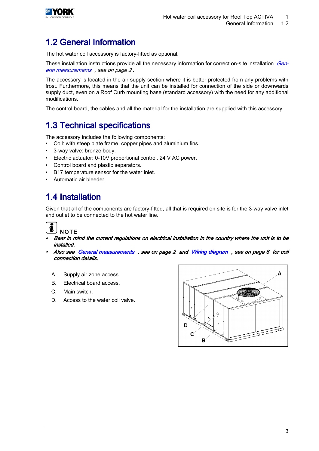<span id="page-4-0"></span>

## 1.2 General Information

The hot water coil accessory is factory-fitted as optional.

These installation instructions provide all the necessary information for correct on-site installation *Gen*[eral measurements](#page-3-0) , see on page 2 .

The accessory is located in the air supply section where it is better protected from any problems with frost. Furthermore, this means that the unit can be installed for connection of the side or downwards supply duct, even on a Roof Curb mounting base (standard accessory) with the need for any additional modifications.

The control board, the cables and all the material for the installation are supplied with this accessory.

### 1.3 Technical specifications

The accessory includes the following components:

- Coil: with steep plate frame, copper pipes and aluminium fins.
- 3-way valve: bronze body.
- Electric actuator: 0-10V proportional control, 24 V AC power.
- Control board and plastic separators.
- B17 temperature sensor for the water inlet.
- Automatic air bleeder.

## 1.4 Installation

Given that all of the components are factory-fitted, all that is required on site is for the 3-way valve inlet and outlet to be connected to the hot water line.

# **NOTE**

- • Bear in mind the current regulations on electrical installation in the country where the unit is to be installed.
- • Also see [General measurements](#page-3-0) , see on page 2 and [Wiring diagram](#page-9-0) , see on page 8 for coil connection details.
	- A. Supply air zone access.
	- B. Electrical board access.
	- C. Main switch.
	- D. Access to the water coil valve.

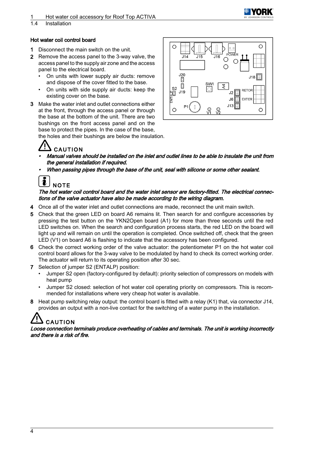### 1 Hot water coil accessory for Roof Top ACTIVA

1.4 Installation

#### Hot water coil control board

- 1 Disconnect the main switch on the unit.
- 2 Remove the access panel to the 3-way valve, the access panel to the supply air zone and the access panel to the electrical board.
	- On units with lower supply air ducts: remove and dispose of the cover fitted to the base.
	- On units with side supply air ducts: keep the existing cover on the base.
- 3 Make the water inlet and outlet connections either at the front, through the access panel or through the base at the bottom of the unit. There are two bushings on the front access panel and on the base to protect the pipes. In the case of the base,

the holes and their bushings are below the insulation.

# **CAUTION**

- • Manual valves should be installed on the inlet and outlet lines to be able to insulate the unit from the general installation if required.
- •When passing pipes through the base of the unit, seal with silicone or some other sealant.

# **NOTE**

#### The hot water coil control board and the water inlet sensor are factory-fitted. The electrical connec‐ tions of the valve actuator have also be made according to the wiring diagram.

- 4 Once all of the water inlet and outlet connections are made, reconnect the unit main switch.
- 5 Check that the green LED on board A6 remains lit. Then search for and configure accessories by pressing the test button on the YKN2Open board (A1) for more than three seconds until the red LED switches on. When the search and configuration process starts, the red LED on the board will light up and will remain on until the operation is completed. Once switched off, check that the green LED (V1) on board A6 is flashing to indicate that the accessory has been configured.
- 6 Check the correct working order of the valve actuator: the potentiometer P1 on the hot water coil control board allows for the 3-way valve to be modulated by hand to check its correct working order. The actuator will return to its operating position after 30 sec.
- 7 Selection of jumper S2 (ENTALP) position:
	- Jumper S2 open (factory-configured by default): priority selection of compressors on models with heat pump
	- Jumper S2 closed: selection of hot water coil operating priority on compressors. This is recom‐ mended for installations where very cheap hot water is available.
- 8 Heat pump switching relay output: the control board is fitted with a relay (K1) that, via connector J14, provides an output with a non-live contact for the switching of a water pump in the installation.

# **CAUTION**

Loose connection terminals produce overheating of cables and terminals. The unit is working incorrectly and there is a risk of fire.

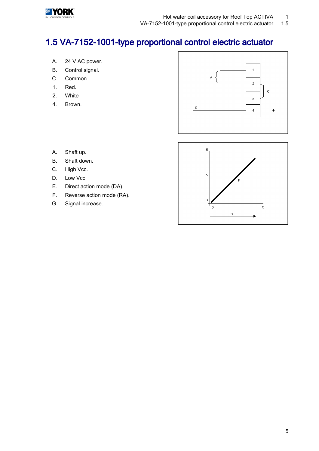<span id="page-6-0"></span>

VA-7152-1001-type proportional control electric actuator

# 1.5 VA-7152-1001-type proportional control electric actuator

- A. 24 V AC power.
- B. Control signal.
- C. Common.
- 1. Red.
- 2. White
- 4. Brown.



- A. Shaft up.
- B. Shaft down.
- C. High Vcc.
- D. Low Vcc.
- E. Direct action mode (DA).
- F. Reverse action mode (RA).
- G. Signal increase.

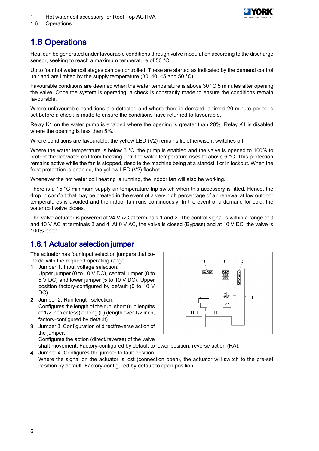

<span id="page-7-0"></span>1.6 Operations

## 1.6 Operations

Heat can be generated under favourable conditions through valve modulation according to the discharge sensor, seeking to reach a maximum temperature of 50 °C.

Up to four hot water coil stages can be controlled. These are started as indicated by the demand control unit and are limited by the supply temperature (30, 40, 45 and 50 °C).

Favourable conditions are deemed when the water temperature is above 30 °C 5 minutes after opening the valve. Once the system is operating, a check is constantly made to ensure the conditions remain favourable.

Where unfavourable conditions are detected and where there is demand, a timed 20-minute period is set before a check is made to ensure the conditions have returned to favourable.

Relay K1 on the water pump is enabled where the opening is greater than 20%. Relay K1 is disabled where the opening is less than 5%.

Where conditions are favourable, the yellow LED (V2) remains lit, otherwise it switches off.

Where the water temperature is below 3 °C, the pump is enabled and the valve is opened to 100% to protect the hot water coil from freezing until the water temperature rises to above 6 °C. This protection remains active while the fan is stopped, despite the machine being at a standstill or in lockout. When the frost protection is enabled, the yellow LED (V2) flashes.

Whenever the hot water coil heating is running, the indoor fan will also be working.

There is a 15 °C minimum supply air temperature trip switch when this accessory is fitted. Hence, the drop in comfort that may be created in the event of a very high percentage of air renewal at low outdoor temperatures is avoided and the indoor fan runs continuously. In the event of a demand for cold, the water coil valve closes.

The valve actuator is powered at 24 V AC at terminals 1 and 2. The control signal is within a range of 0 and 10 V AC at terminals 3 and 4. At 0 V AC, the valve is closed (Bypass) and at 10 V DC, the valve is 100% open.

### 1.6.1 Actuator selection jumper

The actuator has four input selection jumpers that co‐ incide with the required operating range.

- 1 Jumper 1. Input voltage selection. Upper jumper (0 to 10 V DC), central jumper (0 to 5 V DC) and lower jumper (5 to 10 V DC). Upper position factory-configured by default (0 to 10 V DC).
- 2 Jumper 2. Run length selection. Configures the length of the run: short (run lengths of 1/2 inch or less) or long (L) (length over 1/2 inch, factory-configured by default).

3 Jumper 3. Configuration of direct/reverse action of the jumper. Configures the action (direct/reverse) of the valve

 $\overline{4}$ **BARDIO BAR**<br>Die 00088 りる ٠,  $\overline{Y1}$ amin'uun

shaft movement. Factory-configured by default to lower position, reverse action (RA).

4 Jumper 4. Configures the jumper to fault position. Where the signal on the actuator is lost (connection open), the actuator will switch to the pre-set position by default. Factory-configured by default to open position.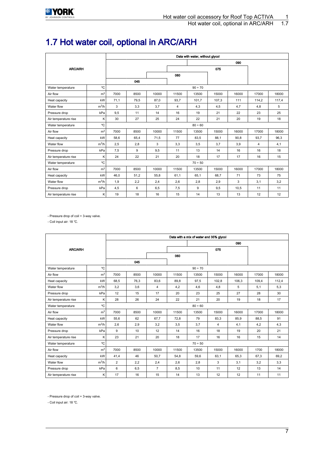# <span id="page-8-0"></span>1.7 Hot water coil, optional in ARC/ARH

|                         |                | Data with water, without glycol |      |       |                |         |         |       |       |       |  |  |
|-------------------------|----------------|---------------------------------|------|-------|----------------|---------|---------|-------|-------|-------|--|--|
|                         |                |                                 |      |       |                |         | 090     |       |       |       |  |  |
| <b>ARC/ARH</b>          |                |                                 |      | 075   |                |         |         |       |       |       |  |  |
|                         |                |                                 |      |       | 060            |         |         |       |       |       |  |  |
|                         |                |                                 | 045  |       |                |         |         |       |       |       |  |  |
| Water temperature       | °C             |                                 |      |       |                | 90 ÷ 70 |         |       |       |       |  |  |
| Air flow                | m <sup>3</sup> | 7000                            | 8500 | 10000 | 11500          | 13500   | 15000   | 16000 | 17000 | 18000 |  |  |
| Heat capacity           | kW             | 71,1                            | 79.5 | 87,0  | 93,7           | 101,7   | 107,3   | 111   | 114,2 | 117,4 |  |  |
| Water flow              | $m^3/h$        | 3                               | 3,3  | 3,7   | $\overline{4}$ | 4,3     | 4,5     | 4,7   | 4,8   | 5     |  |  |
| Pressure drop           | kPa            | 9,5                             | 11   | 14    | 16             | 19      | 21      | 22    | 23    | 25    |  |  |
| Air temperature rise    | K              | 30                              | 27   | 25    | 24             | 22      | 21      | 20    | 19    | 18    |  |  |
| Water temperature       | °C             |                                 |      |       |                |         | 80 ÷ 60 |       |       |       |  |  |
| Air flow                | m <sup>3</sup> | 7000                            | 8500 | 10000 | 11500          | 13500   | 15000   | 16000 | 17000 | 18000 |  |  |
| Heat capacity           | kW             | 58,6                            | 65,4 | 71,5  | 77             | 83,5    | 88,1    | 90,8  | 93,7  | 96,3  |  |  |
| Water flow              | $m^3/h$        | 2,5                             | 2,8  | 3     | 3,3            | 3,5     | 3.7     | 3,9   | 4     | 4,1   |  |  |
| Pressure drop           | kPa            | 7,5                             | 9    | 9,5   | 11             | 13      | 14      | 16    | 16    | 18    |  |  |
| Air temperature rise    | K              | 24                              | 22   | 21    | 20             | 18      | 17      | 17    | 16    | 15    |  |  |
| °C<br>Water temperature |                |                                 |      |       |                | 70 ÷ 50 |         |       |       |       |  |  |
| Air flow                | m <sup>3</sup> | 7000                            | 8500 | 10000 | 11500          | 13500   | 15000   | 16000 | 17000 | 18000 |  |  |
| Heat capacity           | kW             | 46.0                            | 51,2 | 55,8  | 61,1           | 65,1    | 68,7    | 71    | 73    | 75    |  |  |
| Water flow              | $m^3/h$        | 1,9                             | 2,2  | 2,4   | 2,6            | 2,8     | 2,9     | 3     | 3,1   | 3,2   |  |  |
| Pressure drop           | kPa            | 4,5                             | 6    | 6,5   | 7,5            | 9       | 9,5     | 10,5  | 11    | 11    |  |  |
| Air temperature rise    | K              | 19                              | 18   | 16    | 15             | 14      | 13      | 13    | 12    | 12    |  |  |

- Pressure drop of coil + 3-way valve.

- Coil input air: 18 ℃.

|                         |                | Data with a mix of water and 35% glycol |      |                |       |         |                |       |       |       |
|-------------------------|----------------|-----------------------------------------|------|----------------|-------|---------|----------------|-------|-------|-------|
|                         |                |                                         |      |                |       |         | 090            |       |       |       |
| <b>ARC/ARH</b>          |                |                                         |      | 075            |       |         |                |       |       |       |
|                         |                |                                         |      |                | 060   |         |                |       |       |       |
|                         |                | 045                                     |      |                |       |         |                |       |       |       |
| Water temperature       | °C             |                                         |      |                |       | 90 ÷ 70 |                |       |       |       |
| Air flow                | m <sup>3</sup> | 7000                                    | 8500 | 10000          | 11500 | 13500   | 15000          | 16000 | 17000 | 18000 |
| Heat capacity           | kW             | 68.5                                    | 76.3 | 83.6           | 89.8  | 97.5    | 102.8          | 106.3 | 109.4 | 112.4 |
| Water flow              | $m^3/h$        | 3,2                                     | 3,6  | 4              | 4,2   | 4,6     | 4,8            | 5     | 5,1   | 5,3   |
| Pressure drop           | kPa            | 12                                      | 15   | 17             | 20    | 23      | 25             | 27    | 28    | 30    |
| Air temperature rise    | Κ              | 28                                      | 26   | 24             | 22    | 21      | 20             | 19    | 18    | 17    |
| Water temperature       | 80 ÷ 60        |                                         |      |                |       |         |                |       |       |       |
| Air flow                | m <sup>3</sup> | 7000                                    | 8500 | 10000          | 11500 | 13500   | 15000          | 16000 | 17000 | 18000 |
| Heat capacity           | kW             | 55.6                                    | 62   | 67.7           | 72,8  | 79      | 83,3           | 85.9  | 88.5  | 91    |
| Water flow              | $m^3/h$        | 2,6                                     | 2,9  | 3,2            | 3,5   | 3,7     | $\overline{4}$ | 4,1   | 4,2   | 4,3   |
| Pressure drop           | kPa            | 9                                       | 10   | 12             | 14    | 16      | 18             | 19    | 20    | 21    |
| Air temperature rise    | Κ              | 23                                      | 21   | 20             | 18    | 17      | 16             | 16    | 15    | 14    |
| °C<br>Water temperature |                | 70 ÷ 50                                 |      |                |       |         |                |       |       |       |
| Air flow                | m <sup>3</sup> | 7000                                    | 8500 | 10000          | 11500 | 13500   | 15000          | 16000 | 1700  | 18000 |
| Heat capacity           | kW             | 41,4                                    | 46   | 50,7           | 54,8  | 59,6    | 63,1           | 65,3  | 67,3  | 69,2  |
| Water flow              | $m^3/h$        | $\overline{2}$                          | 2,2  | 2,4            | 2,6   | 2,8     | 3              | 3,1   | 3,2   | 3,3   |
| Pressure drop           | kPa            | 6                                       | 6,5  | $\overline{7}$ | 8,5   | 10      | 11             | 12    | 13    | 14    |
| Air temperature rise    | K              | 17                                      | 16   | 15             | 14    | 13      | 12             | 12    | 11    | 11    |

- Pressure drop of coil + 3-way valve.

- Coil input air: 18 ℃.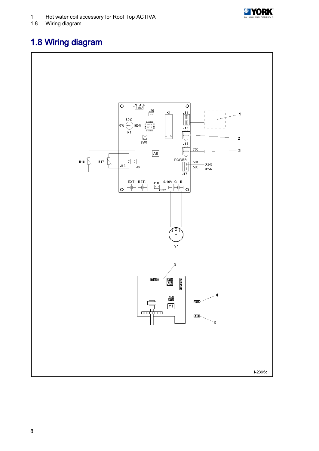

# <span id="page-9-0"></span>Wiring diagram

# 1.8 Wiring diagram